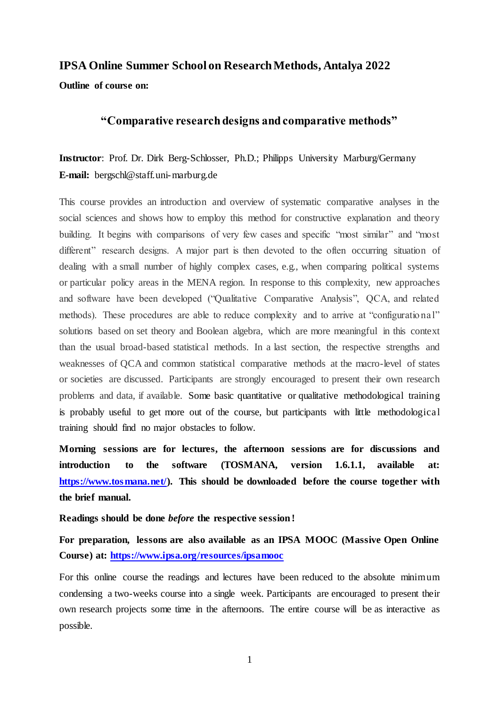# **IPSA Online Summer School on Research Methods, Antalya 2022**

**Outline of course on:**

# **"Comparative research designs and comparative methods"**

**Instructor**: Prof. Dr. Dirk Berg-Schlosser, Ph.D.; Philipps University Marburg/Germany **E-mail:** [bergschl@staff.uni-marburg.de](mailto:bergschl@staff.uni-marburg.de)

This course provides an introduction and overview of systematic comparative analyses in the social sciences and shows how to employ this method for constructive explanation and theory building. It begins with comparisons of very few cases and specific "most similar" and "most different" research designs. A major part is then devoted to the often occurring situation of dealing with a small number of highly complex cases, e.g., when comparing political systems or particular policy areas in the MENA region. In response to this complexity, new approaches and software have been developed ("Qualitative Comparative Analysis", QCA, and related methods). These procedures are able to reduce complexity and to arrive at "configurational" solutions based on set theory and Boolean algebra, which are more meaningful in this context than the usual broad-based statistical methods. In a last section, the respective strengths and weaknesses of QCA and common statistical comparative methods at the macro-level of states or societies are discussed. Participants are strongly encouraged to present their own research problems and data, if available. Some basic quantitative or qualitative methodological training is probably useful to get more out of the course, but participants with little methodological training should find no major obstacles to follow.

**Morning sessions are for lectures, the afternoon sessions are for discussions and introduction to the software (TOSMANA, version 1.6.1.1, available at: [https://www.tosmana.net/\).](https://www.tosmana.net/) This should be downloaded before the course together with the brief manual.**

**Readings should be done** *before* **the respective session !** 

**For preparation, lessons are also available as an IPSA MOOC (Massive Open Online Course) at:<https://www.ipsa.org/resources/ipsamooc>**

For this online course the readings and lectures have been reduced to the absolute minimum condensing a two-weeks course into a single week. Participants are encouraged to present their own research projects some time in the afternoons. The entire course will be as interactive as possible.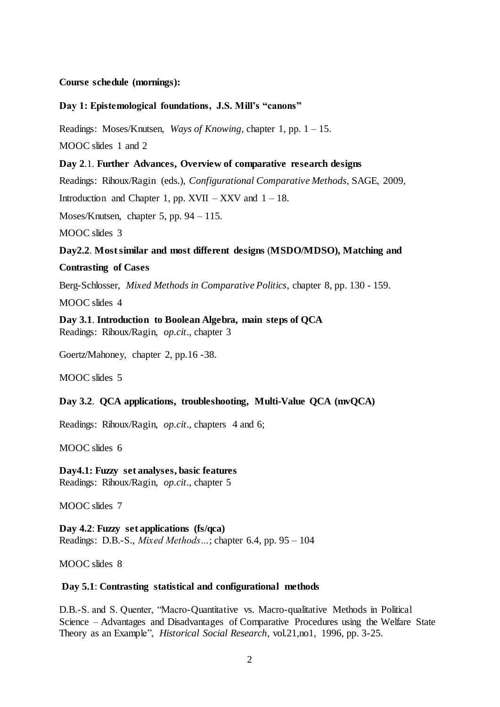### **Course schedule (mornings):**

# **Day 1: Epistemological foundations, J.S. Mill's "canons"**

Readings: Moses/Knutsen, *Ways of Knowing*, chapter 1, pp. 1 – 15.

MOOC slides 1 and 2

# **Day 2**.1. **Further Advances, Overview of comparative research designs**

Readings: Rihoux/Ragin (eds.), *Configurational Comparative Methods*, SAGE, 2009,

Introduction and Chapter 1, pp. XVII – XXV and  $1 - 18$ .

Moses/Knutsen, chapter 5, pp. 94 – 115.

MOOC slides 3

**Day2.2**. **Most similar and most different designs** (**MSDO/MDSO), Matching and Contrasting of Cases**

Berg-Schlosser, *Mixed Methods in Comparative Politics*, chapter 8, pp. 130 - 159.

MOOC slides 4

**Day 3.1**. **Introduction to Boolean Algebra, main steps of QCA** Readings: Rihoux/Ragin, *op.cit*., chapter 3

Goertz/Mahoney, chapter 2, pp.16 -38.

MOOC slides 5

# **Day 3.2**. **QCA applications, troubleshooting, Multi-Value QCA (mvQCA)**

Readings: Rihoux/Ragin, *op.cit*., chapters 4 and 6;

MOOC slides 6

**Day4.1: Fuzzy set analyses, basic features** Readings: Rihoux/Ragin*, op.cit*., chapter 5

MOOC slides 7

**Day 4.2**: **Fuzzy set applications (fs/qca)** Readings: D.B.-S., *Mixed Methods…*; chapter 6.4, pp. 95 – 104

MOOC slides 8

# **Day 5.1**: **Contrasting statistical and configurational methods**

D.B.-S. and S. Quenter, "Macro-Quantitative vs. Macro-qualitative Methods in Political Science – Advantages and Disadvantages of Comparative Procedures using the Welfare State Theory as an Example", *Historical Social Research*, vol.21,no1, 1996, pp. 3-25.